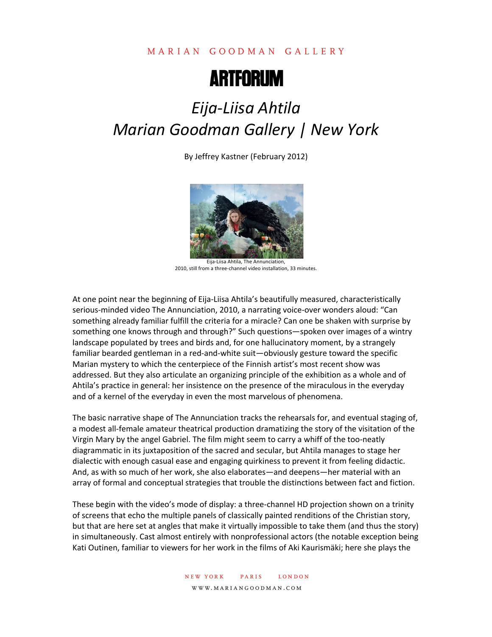## MARIAN GOODMAN GALLERY



## *Eija-Liisa Ahtila Marian Goodman Gallery | New York*

By Jeffrey Kastner (February 2012)



Eija-Liisa Ahtila, The Annunciation, 2010, still from a three-channel video installation, 33 minutes.

At one point near the beginning of Eija-Liisa Ahtila's beautifully measured, characteristically serious-minded video The Annunciation, 2010, a narrating voice-over wonders aloud: "Can something already familiar fulfill the criteria for a miracle? Can one be shaken with surprise by something one knows through and through?" Such questions—spoken over images of a wintry landscape populated by trees and birds and, for one hallucinatory moment, by a strangely familiar bearded gentleman in a red-and-white suit—obviously gesture toward the specific Marian mystery to which the centerpiece of the Finnish artist's most recent show was addressed. But they also articulate an organizing principle of the exhibition as a whole and of Ahtila's practice in general: her insistence on the presence of the miraculous in the everyday and of a kernel of the everyday in even the most marvelous of phenomena.

The basic narrative shape of The Annunciation tracks the rehearsals for, and eventual staging of, a modest all-female amateur theatrical production dramatizing the story of the visitation of the Virgin Mary by the angel Gabriel. The film might seem to carry a whiff of the too-neatly diagrammatic in its juxtaposition of the sacred and secular, but Ahtila manages to stage her dialectic with enough casual ease and engaging quirkiness to prevent it from feeling didactic. And, as with so much of her work, she also elaborates—and deepens—her material with an array of formal and conceptual strategies that trouble the distinctions between fact and fiction.

These begin with the video's mode of display: a three-channel HD projection shown on a trinity of screens that echo the multiple panels of classically painted renditions of the Christian story, but that are here set at angles that make it virtually impossible to take them (and thus the story) in simultaneously. Cast almost entirely with nonprofessional actors (the notable exception being Kati Outinen, familiar to viewers for her work in the films of Aki Kaurismäki; here she plays the

> new york paris london www.mariangoodman.com